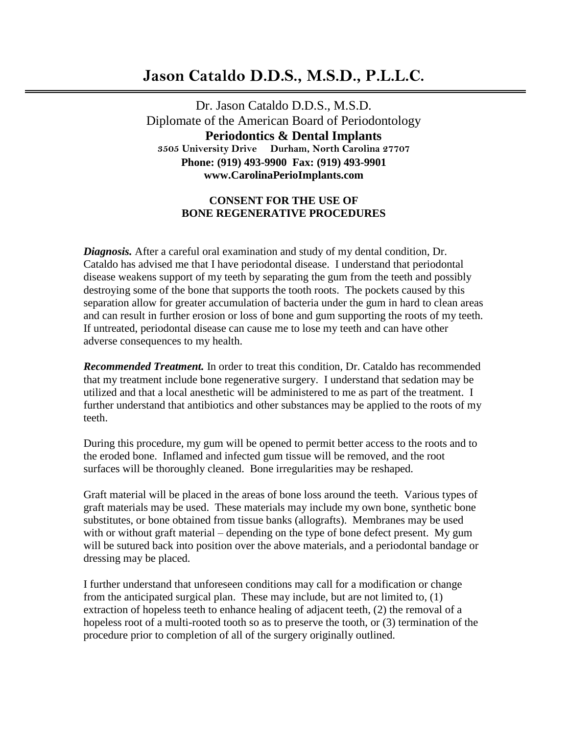## **Jason Cataldo D.D.S., M.S.D., P.L.L.C.**

Dr. Jason Cataldo D.D.S., M.S.D. Diplomate of the American Board of Periodontology  **Periodontics & Dental Implants 3505 University Drive Durham, North Carolina 27707 Phone: (919) 493-9900 Fax: (919) 493-9901 www.CarolinaPerioImplants.com**

## **CONSENT FOR THE USE OF BONE REGENERATIVE PROCEDURES**

*Diagnosis.* After a careful oral examination and study of my dental condition, Dr. Cataldo has advised me that I have periodontal disease. I understand that periodontal disease weakens support of my teeth by separating the gum from the teeth and possibly destroying some of the bone that supports the tooth roots. The pockets caused by this separation allow for greater accumulation of bacteria under the gum in hard to clean areas and can result in further erosion or loss of bone and gum supporting the roots of my teeth. If untreated, periodontal disease can cause me to lose my teeth and can have other adverse consequences to my health.

*Recommended Treatment.* In order to treat this condition, Dr. Cataldo has recommended that my treatment include bone regenerative surgery. I understand that sedation may be utilized and that a local anesthetic will be administered to me as part of the treatment. I further understand that antibiotics and other substances may be applied to the roots of my teeth.

During this procedure, my gum will be opened to permit better access to the roots and to the eroded bone. Inflamed and infected gum tissue will be removed, and the root surfaces will be thoroughly cleaned. Bone irregularities may be reshaped.

Graft material will be placed in the areas of bone loss around the teeth. Various types of graft materials may be used. These materials may include my own bone, synthetic bone substitutes, or bone obtained from tissue banks (allografts). Membranes may be used with or without graft material – depending on the type of bone defect present. My gum will be sutured back into position over the above materials, and a periodontal bandage or dressing may be placed.

I further understand that unforeseen conditions may call for a modification or change from the anticipated surgical plan. These may include, but are not limited to, (1) extraction of hopeless teeth to enhance healing of adjacent teeth, (2) the removal of a hopeless root of a multi-rooted tooth so as to preserve the tooth, or (3) termination of the procedure prior to completion of all of the surgery originally outlined.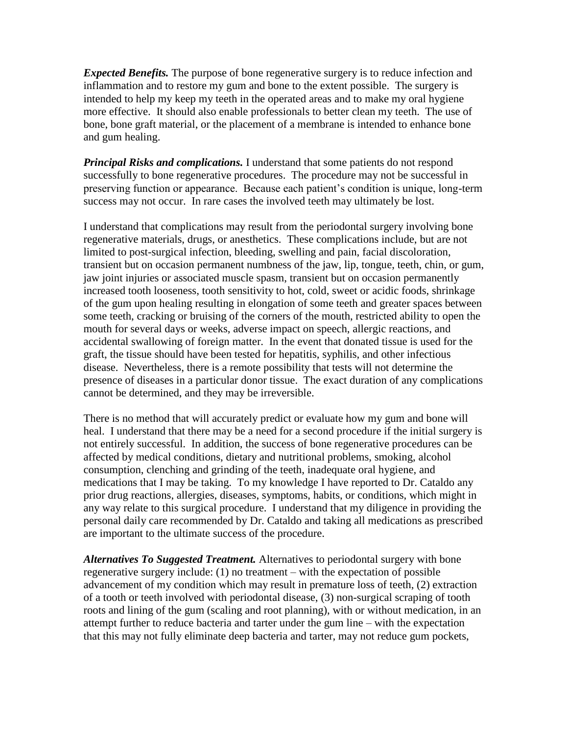*Expected Benefits.* The purpose of bone regenerative surgery is to reduce infection and inflammation and to restore my gum and bone to the extent possible. The surgery is intended to help my keep my teeth in the operated areas and to make my oral hygiene more effective. It should also enable professionals to better clean my teeth. The use of bone, bone graft material, or the placement of a membrane is intended to enhance bone and gum healing.

*Principal Risks and complications.* I understand that some patients do not respond successfully to bone regenerative procedures. The procedure may not be successful in preserving function or appearance. Because each patient's condition is unique, long-term success may not occur. In rare cases the involved teeth may ultimately be lost.

I understand that complications may result from the periodontal surgery involving bone regenerative materials, drugs, or anesthetics. These complications include, but are not limited to post-surgical infection, bleeding, swelling and pain, facial discoloration, transient but on occasion permanent numbness of the jaw, lip, tongue, teeth, chin, or gum, jaw joint injuries or associated muscle spasm, transient but on occasion permanently increased tooth looseness, tooth sensitivity to hot, cold, sweet or acidic foods, shrinkage of the gum upon healing resulting in elongation of some teeth and greater spaces between some teeth, cracking or bruising of the corners of the mouth, restricted ability to open the mouth for several days or weeks, adverse impact on speech, allergic reactions, and accidental swallowing of foreign matter. In the event that donated tissue is used for the graft, the tissue should have been tested for hepatitis, syphilis, and other infectious disease. Nevertheless, there is a remote possibility that tests will not determine the presence of diseases in a particular donor tissue. The exact duration of any complications cannot be determined, and they may be irreversible.

There is no method that will accurately predict or evaluate how my gum and bone will heal. I understand that there may be a need for a second procedure if the initial surgery is not entirely successful. In addition, the success of bone regenerative procedures can be affected by medical conditions, dietary and nutritional problems, smoking, alcohol consumption, clenching and grinding of the teeth, inadequate oral hygiene, and medications that I may be taking. To my knowledge I have reported to Dr. Cataldo any prior drug reactions, allergies, diseases, symptoms, habits, or conditions, which might in any way relate to this surgical procedure. I understand that my diligence in providing the personal daily care recommended by Dr. Cataldo and taking all medications as prescribed are important to the ultimate success of the procedure.

*Alternatives To Suggested Treatment.* Alternatives to periodontal surgery with bone regenerative surgery include: (1) no treatment – with the expectation of possible advancement of my condition which may result in premature loss of teeth, (2) extraction of a tooth or teeth involved with periodontal disease, (3) non-surgical scraping of tooth roots and lining of the gum (scaling and root planning), with or without medication, in an attempt further to reduce bacteria and tarter under the gum line – with the expectation that this may not fully eliminate deep bacteria and tarter, may not reduce gum pockets,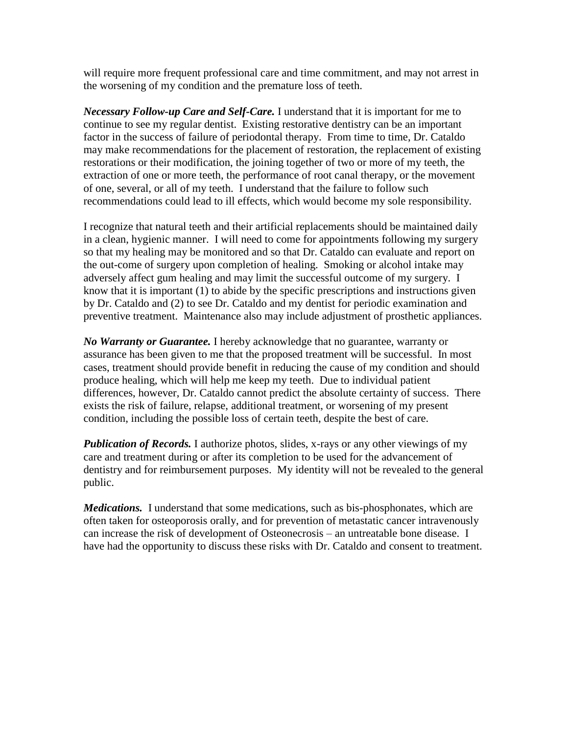will require more frequent professional care and time commitment, and may not arrest in the worsening of my condition and the premature loss of teeth.

*Necessary Follow-up Care and Self-Care.* I understand that it is important for me to continue to see my regular dentist. Existing restorative dentistry can be an important factor in the success of failure of periodontal therapy. From time to time, Dr. Cataldo may make recommendations for the placement of restoration, the replacement of existing restorations or their modification, the joining together of two or more of my teeth, the extraction of one or more teeth, the performance of root canal therapy, or the movement of one, several, or all of my teeth. I understand that the failure to follow such recommendations could lead to ill effects, which would become my sole responsibility.

I recognize that natural teeth and their artificial replacements should be maintained daily in a clean, hygienic manner. I will need to come for appointments following my surgery so that my healing may be monitored and so that Dr. Cataldo can evaluate and report on the out-come of surgery upon completion of healing. Smoking or alcohol intake may adversely affect gum healing and may limit the successful outcome of my surgery. I know that it is important (1) to abide by the specific prescriptions and instructions given by Dr. Cataldo and (2) to see Dr. Cataldo and my dentist for periodic examination and preventive treatment. Maintenance also may include adjustment of prosthetic appliances.

*No Warranty or Guarantee.* I hereby acknowledge that no guarantee, warranty or assurance has been given to me that the proposed treatment will be successful. In most cases, treatment should provide benefit in reducing the cause of my condition and should produce healing, which will help me keep my teeth. Due to individual patient differences, however, Dr. Cataldo cannot predict the absolute certainty of success. There exists the risk of failure, relapse, additional treatment, or worsening of my present condition, including the possible loss of certain teeth, despite the best of care.

*Publication of Records.* I authorize photos, slides, x-rays or any other viewings of my care and treatment during or after its completion to be used for the advancement of dentistry and for reimbursement purposes. My identity will not be revealed to the general public.

*Medications.* I understand that some medications, such as bis-phosphonates, which are often taken for osteoporosis orally, and for prevention of metastatic cancer intravenously can increase the risk of development of Osteonecrosis – an untreatable bone disease. I have had the opportunity to discuss these risks with Dr. Cataldo and consent to treatment.